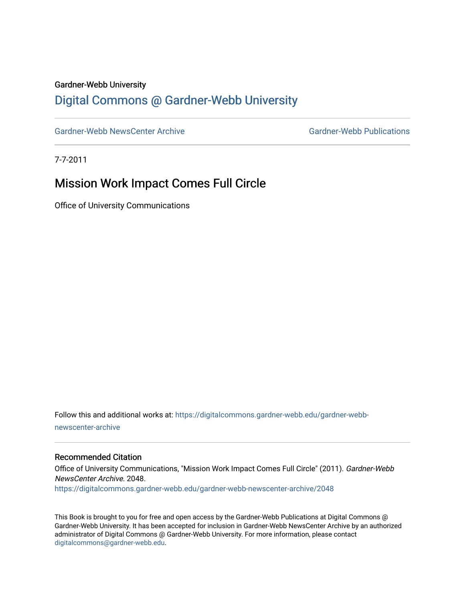#### Gardner-Webb University

# [Digital Commons @ Gardner-Webb University](https://digitalcommons.gardner-webb.edu/)

[Gardner-Webb NewsCenter Archive](https://digitalcommons.gardner-webb.edu/gardner-webb-newscenter-archive) Gardner-Webb Publications

7-7-2011

# Mission Work Impact Comes Full Circle

Office of University Communications

Follow this and additional works at: [https://digitalcommons.gardner-webb.edu/gardner-webb](https://digitalcommons.gardner-webb.edu/gardner-webb-newscenter-archive?utm_source=digitalcommons.gardner-webb.edu%2Fgardner-webb-newscenter-archive%2F2048&utm_medium=PDF&utm_campaign=PDFCoverPages)[newscenter-archive](https://digitalcommons.gardner-webb.edu/gardner-webb-newscenter-archive?utm_source=digitalcommons.gardner-webb.edu%2Fgardner-webb-newscenter-archive%2F2048&utm_medium=PDF&utm_campaign=PDFCoverPages)

#### Recommended Citation

Office of University Communications, "Mission Work Impact Comes Full Circle" (2011). Gardner-Webb NewsCenter Archive. 2048. [https://digitalcommons.gardner-webb.edu/gardner-webb-newscenter-archive/2048](https://digitalcommons.gardner-webb.edu/gardner-webb-newscenter-archive/2048?utm_source=digitalcommons.gardner-webb.edu%2Fgardner-webb-newscenter-archive%2F2048&utm_medium=PDF&utm_campaign=PDFCoverPages) 

This Book is brought to you for free and open access by the Gardner-Webb Publications at Digital Commons @ Gardner-Webb University. It has been accepted for inclusion in Gardner-Webb NewsCenter Archive by an authorized administrator of Digital Commons @ Gardner-Webb University. For more information, please contact [digitalcommons@gardner-webb.edu](mailto:digitalcommons@gardner-webb.edu).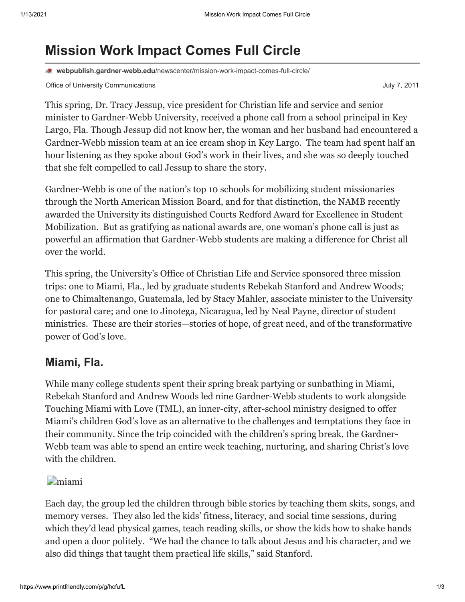# **Mission Work Impact Comes Full Circle**

**webpublish.gardner-webb.edu**[/newscenter/mission-work-impact-comes-full-circle/](https://webpublish.gardner-webb.edu/newscenter/mission-work-impact-comes-full-circle/)

Office of University Communications **July 7, 2011** Communications **July 7, 2011** 

This spring, Dr. Tracy Jessup, vice president for Christian life and service and senior minister to Gardner-Webb University, received a phone call from a school principal in Key Largo, Fla. Though Jessup did not know her, the woman and her husband had encountered a Gardner-Webb mission team at an ice cream shop in Key Largo. The team had spent half an hour listening as they spoke about God's work in their lives, and she was so deeply touched that she felt compelled to call Jessup to share the story.

Gardner-Webb is one of the nation's top 10 schools for mobilizing student missionaries through the North American Mission Board, and for that distinction, the NAMB recently awarded the University its distinguished Courts Redford Award for Excellence in Student Mobilization. But as gratifying as national awards are, one woman's phone call is just as powerful an affirmation that Gardner-Webb students are making a difference for Christ all over the world.

This spring, the University's Office of Christian Life and Service sponsored three mission trips: one to Miami, Fla., led by graduate students Rebekah Stanford and Andrew Woods; one to Chimaltenango, Guatemala, led by Stacy Mahler, associate minister to the University for pastoral care; and one to Jinotega, Nicaragua, led by Neal Payne, director of student ministries. These are their stories—stories of hope, of great need, and of the transformative power of God's love.

# **Miami, Fla.**

While many college students spent their spring break partying or sunbathing in Miami, Rebekah Stanford and Andrew Woods led nine Gardner-Webb students to work alongside Touching Miami with Love (TML), an inner-city, after-school ministry designed to offer Miami's children God's love as an alternative to the challenges and temptations they face in their community. Since the trip coincided with the children's spring break, the Gardner-Webb team was able to spend an entire week teaching, nurturing, and sharing Christ's love with the children.

### [miami](http://gardner-webb.edu/newscenter/?attachment_id=839)

Each day, the group led the children through bible stories by teaching them skits, songs, and memory verses. They also led the kids' fitness, literacy, and social time sessions, during which they'd lead physical games, teach reading skills, or show the kids how to shake hands and open a door politely. "We had the chance to talk about Jesus and his character, and we also did things that taught them practical life skills," said Stanford.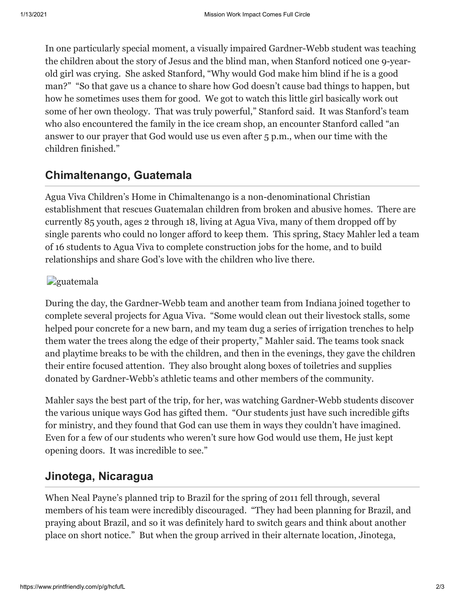In one particularly special moment, a visually impaired Gardner-Webb student was teaching the children about the story of Jesus and the blind man, when Stanford noticed one 9-yearold girl was crying. She asked Stanford, "Why would God make him blind if he is a good man?" "So that gave us a chance to share how God doesn't cause bad things to happen, but how he sometimes uses them for good. We got to watch this little girl basically work out some of her own theology. That was truly powerful," Stanford said. It was Stanford's team who also encountered the family in the ice cream shop, an encounter Stanford called "an answer to our prayer that God would use us even after 5 p.m., when our time with the children finished."

# **Chimaltenango, Guatemala**

Agua Viva Children's Home in Chimaltenango is a non-denominational Christian establishment that rescues Guatemalan children from broken and abusive homes. There are currently 85 youth, ages 2 through 18, living at Agua Viva, many of them dropped off by single parents who could no longer afford to keep them. This spring, Stacy Mahler led a team of 16 students to Agua Viva to complete construction jobs for the home, and to build relationships and share God's love with the children who live there.

## **g**uatemala

During the day, the Gardner-Webb team and another team from Indiana joined together to complete several projects for Agua Viva. "Some would clean out their livestock stalls, some helped pour concrete for a new barn, and my team dug a series of irrigation trenches to help them water the trees along the edge of their property," Mahler said. The teams took snack and playtime breaks to be with the children, and then in the evenings, they gave the children their entire focused attention. They also brought along boxes of toiletries and supplies donated by Gardner-Webb's athletic teams and other members of the community.

Mahler says the best part of the trip, for her, was watching Gardner-Webb students discover the various unique ways God has gifted them. "Our students just have such incredible gifts for ministry, and they found that God can use them in ways they couldn't have imagined. Even for a few of our students who weren't sure how God would use them, He just kept opening doors. It was incredible to see."

# **Jinotega, Nicaragua**

When Neal Payne's planned trip to Brazil for the spring of 2011 fell through, several members of his team were incredibly discouraged. "They had been planning for Brazil, and praying about Brazil, and so it was definitely hard to switch gears and think about another place on short notice." But when the group arrived in their alternate location, Jinotega,